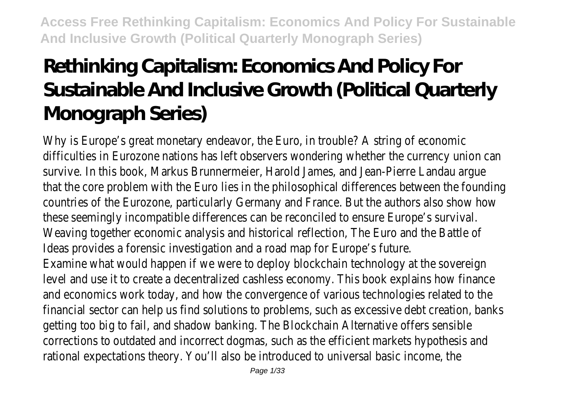# **Rethinking Capitalism: Economics And Policy For Sustainable And Indusive Growth (Political Quarterly Monograph Series)**

Why is Europe's great monetary endeavor, the Euro, in trouble? A string of economic difficulties in Eurozone nations has left observers wondering whether the currency union can survive. In this book, Markus Brunnermeier, Harold James, and Jean-Pierre Landau argue that the core problem with the Euro lies in the philosophical differences between the founding countries of the Eurozone, particularly Germany and France. But the authors also show how these seemingly incompatible differences can be reconciled to ensure Europe's survival. Weaving together economic analysis and historical reflection, The Euro and the Battle of Ideas provides a forensic investigation and a road map for Europe's future. Examine what would happen if we were to deploy blockchain technology at the sovereign level and use it to create a decentralized cashless economy. This book explains how finance and economics work today, and how the convergence of various technologies related to the financial sector can help us find solutions to problems, such as excessive debt creation, banks getting too big to fail, and shadow banking. The Blockchain Alternative offers sensible corrections to outdated and incorrect dogmas, such as the efficient markets hypothesis and rational expectations theory. You'll also be introduced to universal basic income, the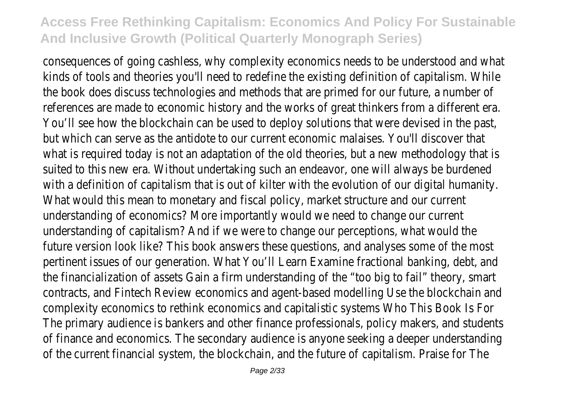consequences of going cashless, why complexity economics needs to be understood and what kinds of tools and theories you'll need to redefine the existing definition of capitalism. While the book does discuss technologies and methods that are primed for our future, a number of references are made to economic history and the works of great thinkers from a different era. You'll see how the blockchain can be used to deploy solutions that were devised in the past, but which can serve as the antidote to our current economic malaises. You'll discover that what is required today is not an adaptation of the old theories, but a new methodology that is suited to this new era. Without undertaking such an endeavor, one will always be burdened with a definition of capitalism that is out of kilter with the evolution of our digital humanity. What would this mean to monetary and fiscal policy, market structure and our current understanding of economics? More importantly would we need to change our current understanding of capitalism? And if we were to change our perceptions, what would the future version look like? This book answers these questions, and analyses some of the most pertinent issues of our generation. What You'll Learn Examine fractional banking, debt, and the financialization of assets Gain a firm understanding of the "too big to fail" theory, smart contracts, and Fintech Review economics and agent-based modelling Use the blockchain and complexity economics to rethink economics and capitalistic systems Who This Book Is For The primary audience is bankers and other finance professionals, policy makers, and students of finance and economics. The secondary audience is anyone seeking a deeper understanding of the current financial system, the blockchain, and the future of capitalism. Praise for The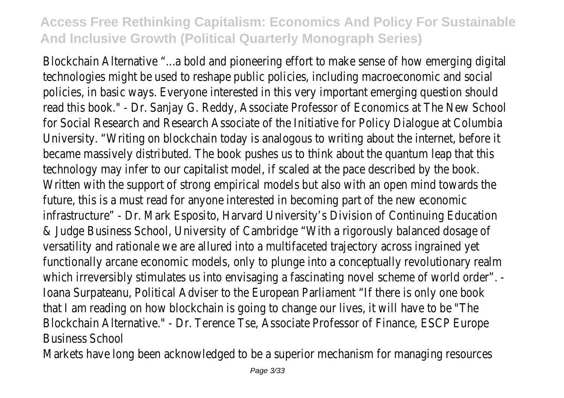Blockchain Alternative "...a bold and pioneering effort to make sense of how emerging digital technologies might be used to reshape public policies, including macroeconomic and social policies, in basic ways. Everyone interested in this very important emerging question should read this book." - Dr. Sanjay G. Reddy, Associate Professor of Economics at The New School for Social Research and Research Associate of the Initiative for Policy Dialogue at Columbia University. "Writing on blockchain today is analogous to writing about the internet, before it became massively distributed. The book pushes us to think about the quantum leap that this technology may infer to our capitalist model, if scaled at the pace described by the book. Written with the support of strong empirical models but also with an open mind towards the future, this is a must read for anyone interested in becoming part of the new economic infrastructure" - Dr. Mark Esposito, Harvard University's Division of Continuing Education & Judge Business School, University of Cambridge "With a rigorously balanced dosage of versatility and rationale we are allured into a multifaceted trajectory across ingrained yet functionally arcane economic models, only to plunge into a conceptually revolutionary realm which irreversibly stimulates us into envisaging a fascinating novel scheme of world order". -Ioana Surpateanu, Political Adviser to the European Parliament "If there is only one book that I am reading on how blockchain is going to change our lives, it will have to be "The Blockchain Alternative." - Dr. Terence Tse, Associate Professor of Finance, ESCP Europe Business School

Markets have long been acknowledged to be a superior mechanism for managing resources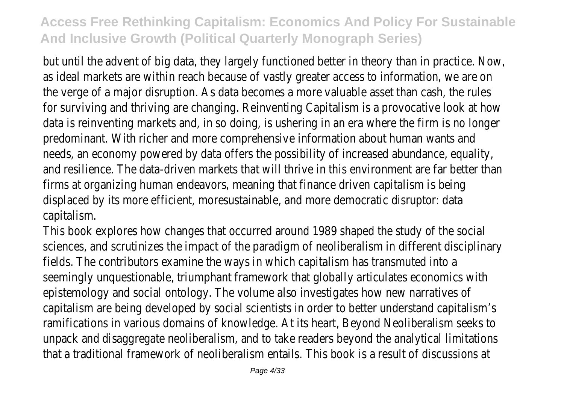but until the advent of big data, they largely functioned better in theory than in practice. Now, as ideal markets are within reach because of vastly greater access to information, we are on the verge of a major disruption. As data becomes a more valuable asset than cash, the rules for surviving and thriving are changing. Reinventing Capitalism is a provocative look at how data is reinventing markets and, in so doing, is ushering in an era where the firm is no longer predominant. With richer and more comprehensive information about human wants and needs, an economy powered by data offers the possibility of increased abundance, equality, and resilience. The data-driven markets that will thrive in this environment are far better than firms at organizing human endeavors, meaning that finance driven capitalism is being displaced by its more efficient, moresustainable, and more democratic disruptor: data capitalism.

This book explores how changes that occurred around 1989 shaped the study of the social sciences, and scrutinizes the impact of the paradigm of neoliberalism in different disciplinary fields. The contributors examine the ways in which capitalism has transmuted into a seemingly unquestionable, triumphant framework that globally articulates economics with epistemology and social ontology. The volume also investigates how new narratives of capitalism are being developed by social scientists in order to better understand capitalism's ramifications in various domains of knowledge. At its heart, Beyond Neoliberalism seeks to unpack and disaggregate neoliberalism, and to take readers beyond the analytical limitations that a traditional framework of neoliberalism entails. This book is a result of discussions at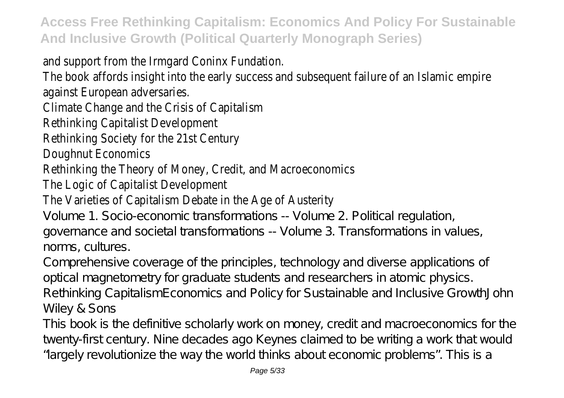and support from the Irmgard Coninx Fundation.

The book affords insight into the early success and subsequent failure of an Islamic empire against European adversaries.

Climate Change and the Crisis of Capitalism

Rethinking Capitalist Development

Rethinking Society for the 21st Century

Doughnut Economics

Rethinking the Theory of Money, Credit, and Macroeconomics

The Logic of Capitalist Development

The Varieties of Capitalism Debate in the Age of Austerity

Volume 1. Socio-economic transformations -- Volume 2. Political regulation, governance and societal transformations -- Volume 3. Transformations in values, norms, cultures.

Comprehensive coverage of the principles, technology and diverse applications of optical magnetometry for graduate students and researchers in atomic physics. Rethinking CapitalismEconomics and Policy for Sustainable and Inclusive GrowthJohn Wiley & Sons

This book is the definitive scholarly work on money, credit and macroeconomics for the twenty-first century. Nine decades ago Keynes claimed to be writing a work that would "largely revolutionize the way the world thinks about economic problems". This is a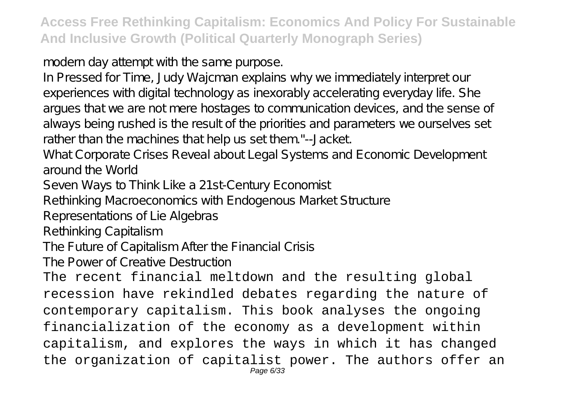modern day attempt with the same purpose.

In Pressed for Time, Judy Wajcman explains why we immediately interpret our experiences with digital technology as inexorably accelerating everyday life. She argues that we are not mere hostages to communication devices, and the sense of always being rushed is the result of the priorities and parameters we ourselves set rather than the machines that help us set them."--Jacket.

What Corporate Crises Reveal about Legal Systems and Economic Development around the World

Seven Ways to Think Like a 21st-Century Economist

Rethinking Macroeconomics with Endogenous Market Structure

Representations of Lie Algebras

Rethinking Capitalism

The Future of Capitalism After the Financial Crisis

The Power of Creative Destruction

The recent financial meltdown and the resulting global recession have rekindled debates regarding the nature of contemporary capitalism. This book analyses the ongoing financialization of the economy as a development within capitalism, and explores the ways in which it has changed the organization of capitalist power. The authors offer an Page 6/33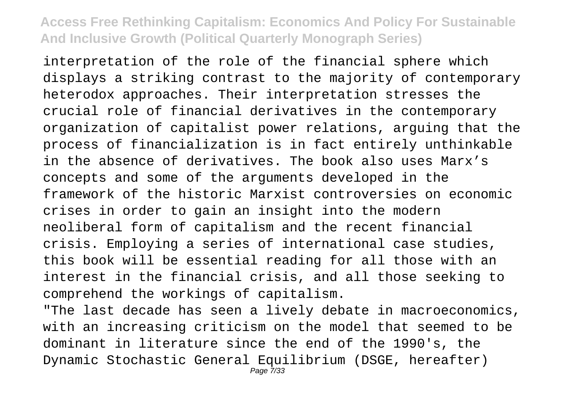interpretation of the role of the financial sphere which displays a striking contrast to the majority of contemporary heterodox approaches. Their interpretation stresses the crucial role of financial derivatives in the contemporary organization of capitalist power relations, arguing that the process of financialization is in fact entirely unthinkable in the absence of derivatives. The book also uses Marx's concepts and some of the arguments developed in the framework of the historic Marxist controversies on economic crises in order to gain an insight into the modern neoliberal form of capitalism and the recent financial crisis. Employing a series of international case studies, this book will be essential reading for all those with an interest in the financial crisis, and all those seeking to comprehend the workings of capitalism.

"The last decade has seen a lively debate in macroeconomics, with an increasing criticism on the model that seemed to be dominant in literature since the end of the 1990's, the Dynamic Stochastic General Equilibrium (DSGE, hereafter) Page 7/33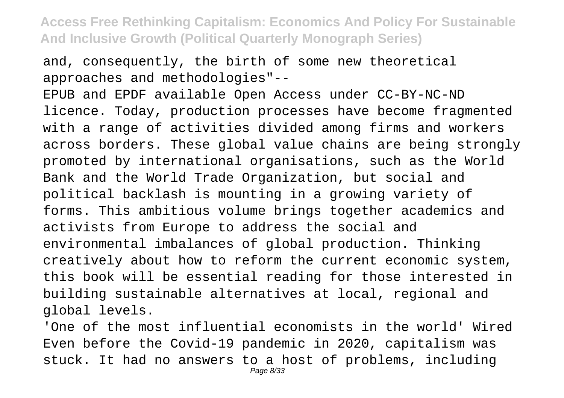and, consequently, the birth of some new theoretical approaches and methodologies"--

EPUB and EPDF available Open Access under CC-BY-NC-ND licence. Today, production processes have become fragmented with a range of activities divided among firms and workers across borders. These global value chains are being strongly promoted by international organisations, such as the World Bank and the World Trade Organization, but social and political backlash is mounting in a growing variety of forms. This ambitious volume brings together academics and activists from Europe to address the social and environmental imbalances of global production. Thinking creatively about how to reform the current economic system, this book will be essential reading for those interested in building sustainable alternatives at local, regional and global levels.

'One of the most influential economists in the world' Wired Even before the Covid-19 pandemic in 2020, capitalism was stuck. It had no answers to a host of problems, including Page 8/33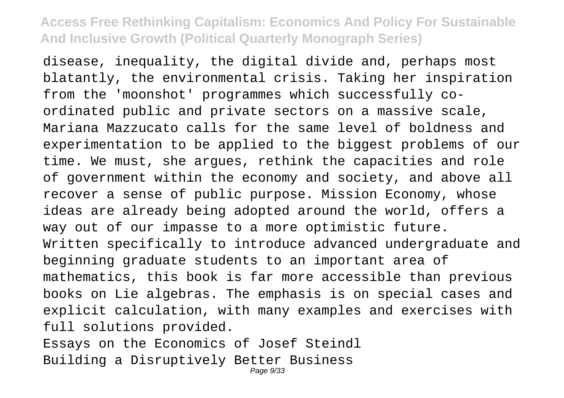disease, inequality, the digital divide and, perhaps most blatantly, the environmental crisis. Taking her inspiration from the 'moonshot' programmes which successfully coordinated public and private sectors on a massive scale, Mariana Mazzucato calls for the same level of boldness and experimentation to be applied to the biggest problems of our time. We must, she argues, rethink the capacities and role of government within the economy and society, and above all recover a sense of public purpose. Mission Economy, whose ideas are already being adopted around the world, offers a way out of our impasse to a more optimistic future. Written specifically to introduce advanced undergraduate and beginning graduate students to an important area of mathematics, this book is far more accessible than previous books on Lie algebras. The emphasis is on special cases and explicit calculation, with many examples and exercises with full solutions provided. Essays on the Economics of Josef Steindl Building a Disruptively Better Business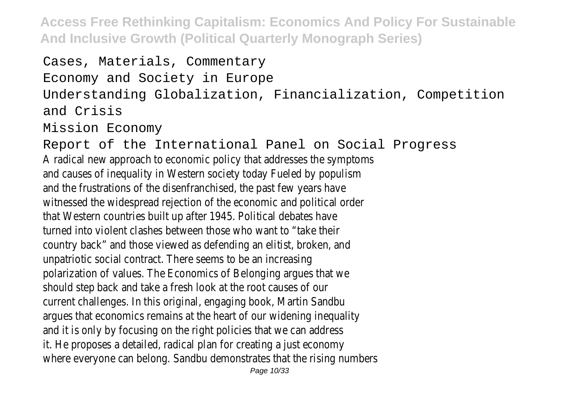```
Cases, Materials, Commentary
Economy and Society in Europe
Understanding Globalization, Financialization, Competition
and Crisis
Mission Economy
```
Report of the International Panel on Social Progress A radical new approach to economic policy that addresses the symptoms and causes of inequality in Western society today Fueled by populism and the frustrations of the disenfranchised, the past few years have witnessed the widespread rejection of the economic and political order that Western countries built up after 1945. Political debates have turned into violent clashes between those who want to "take their country back" and those viewed as defending an elitist, broken, and unpatriotic social contract. There seems to be an increasing polarization of values. The Economics of Belonging argues that we should step back and take a fresh look at the root causes of our current challenges. In this original, engaging book, Martin Sandbu argues that economics remains at the heart of our widening inequality and it is only by focusing on the right policies that we can address it. He proposes a detailed, radical plan for creating a just economy where everyone can belong. Sandbu demonstrates that the rising numbers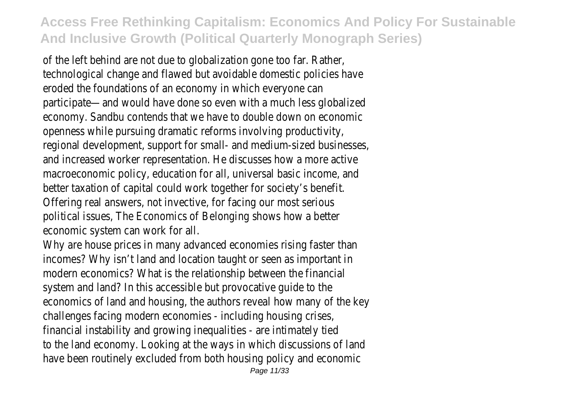of the left behind are not due to globalization gone too far. Rather, technological change and flawed but avoidable domestic policies have eroded the foundations of an economy in which everyone can participate—and would have done so even with a much less globalized economy. Sandbu contends that we have to double down on economic openness while pursuing dramatic reforms involving productivity, regional development, support for small- and medium-sized businesses, and increased worker representation. He discusses how a more active macroeconomic policy, education for all, universal basic income, and better taxation of capital could work together for society's benefit. Offering real answers, not invective, for facing our most serious political issues, The Economics of Belonging shows how a better economic system can work for all.

Why are house prices in many advanced economies rising faster than incomes? Why isn't land and location taught or seen as important in modern economics? What is the relationship between the financial system and land? In this accessible but provocative guide to the economics of land and housing, the authors reveal how many of the key challenges facing modern economies - including housing crises, financial instability and growing inequalities - are intimately tied to the land economy. Looking at the ways in which discussions of land have been routinely excluded from both housing policy and economic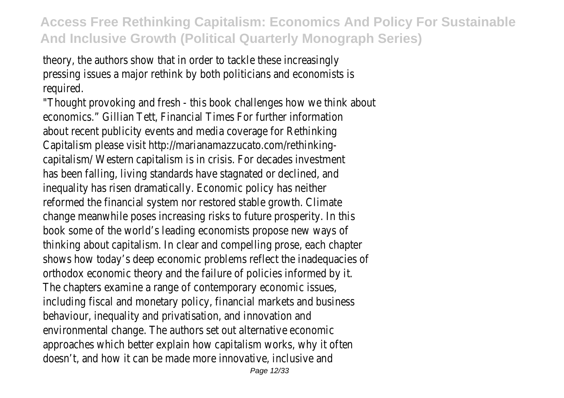theory, the authors show that in order to tackle these increasingly pressing issues a major rethink by both politicians and economists is required.

"Thought provoking and fresh - this book challenges how we think about economics." Gillian Tett, Financial Times For further information about recent publicity events and media coverage for Rethinking Capitalism please visit http://marianamazzucato.com/rethinkingcapitalism/ Western capitalism is in crisis. For decades investment has been falling, living standards have stagnated or declined, and inequality has risen dramatically. Economic policy has neither reformed the financial system nor restored stable growth. Climate change meanwhile poses increasing risks to future prosperity. In this book some of the world's leading economists propose new ways of thinking about capitalism. In clear and compelling prose, each chapter shows how today's deep economic problems reflect the inadequacies of orthodox economic theory and the failure of policies informed by it. The chapters examine a range of contemporary economic issues, including fiscal and monetary policy, financial markets and business behaviour, inequality and privatisation, and innovation and environmental change. The authors set out alternative economic approaches which better explain how capitalism works, why it often doesn't, and how it can be made more innovative, inclusive and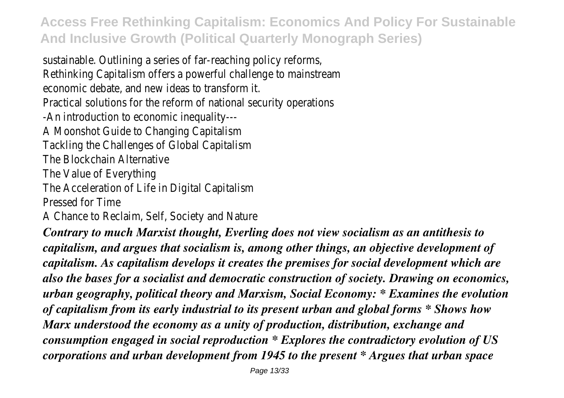sustainable. Outlining a series of far-reaching policy reforms, Rethinking Capitalism offers a powerful challenge to mainstream economic debate, and new ideas to transform it. Practical solutions for the reform of national security operations -An introduction to economic inequality--- A Moonshot Guide to Changing Capitalism Tackling the Challenges of Global Capitalism The Blockchain Alternative The Value of Everything The Acceleration of Life in Digital Capitalism Pressed for Time A Chance to Reclaim, Self, Society and Nature

*Contrary to much Marxist thought, Everling does not view socialism as an antithesis to capitalism, and argues that socialism is, among other things, an objective development of capitalism. As capitalism develops it creates the premises for social development which are also the bases for a socialist and democratic construction of society. Drawing on economics, urban geography, political theory and Marxism, Social Economy: \* Examines the evolution of capitalism from its early industrial to its present urban and global forms \* Shows how Marx understood the economy as a unity of production, distribution, exchange and consumption engaged in social reproduction \* Explores the contradictory evolution of US corporations and urban development from 1945 to the present \* Argues that urban space*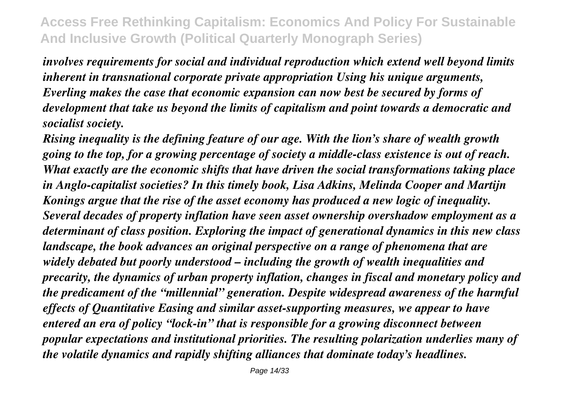*involves requirements for social and individual reproduction which extend well beyond limits inherent in transnational corporate private appropriation Using his unique arguments, Everling makes the case that economic expansion can now best be secured by forms of development that take us beyond the limits of capitalism and point towards a democratic and socialist society.*

*Rising inequality is the defining feature of our age. With the lion's share of wealth growth going to the top, for a growing percentage of society a middle-class existence is out of reach. What exactly are the economic shifts that have driven the social transformations taking place in Anglo-capitalist societies? In this timely book, Lisa Adkins, Melinda Cooper and Martijn Konings argue that the rise of the asset economy has produced a new logic of inequality. Several decades of property inflation have seen asset ownership overshadow employment as a determinant of class position. Exploring the impact of generational dynamics in this new class landscape, the book advances an original perspective on a range of phenomena that are widely debated but poorly understood – including the growth of wealth inequalities and precarity, the dynamics of urban property inflation, changes in fiscal and monetary policy and the predicament of the "millennial" generation. Despite widespread awareness of the harmful effects of Quantitative Easing and similar asset-supporting measures, we appear to have entered an era of policy "lock-in" that is responsible for a growing disconnect between popular expectations and institutional priorities. The resulting polarization underlies many of the volatile dynamics and rapidly shifting alliances that dominate today's headlines.*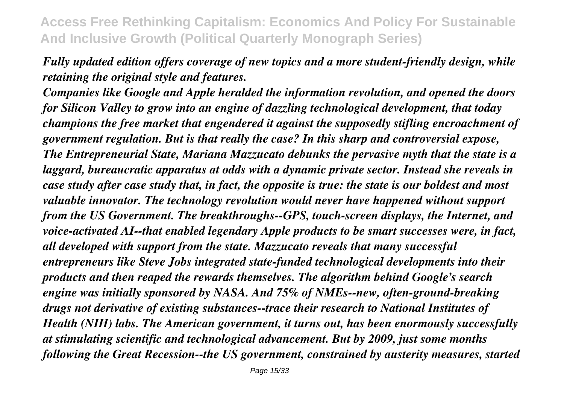*Fully updated edition offers coverage of new topics and a more student-friendly design, while retaining the original style and features.*

*Companies like Google and Apple heralded the information revolution, and opened the doors for Silicon Valley to grow into an engine of dazzling technological development, that today champions the free market that engendered it against the supposedly stifling encroachment of government regulation. But is that really the case? In this sharp and controversial expose, The Entrepreneurial State, Mariana Mazzucato debunks the pervasive myth that the state is a laggard, bureaucratic apparatus at odds with a dynamic private sector. Instead she reveals in case study after case study that, in fact, the opposite is true: the state is our boldest and most valuable innovator. The technology revolution would never have happened without support from the US Government. The breakthroughs--GPS, touch-screen displays, the Internet, and voice-activated AI--that enabled legendary Apple products to be smart successes were, in fact, all developed with support from the state. Mazzucato reveals that many successful entrepreneurs like Steve Jobs integrated state-funded technological developments into their products and then reaped the rewards themselves. The algorithm behind Google's search engine was initially sponsored by NASA. And 75% of NMEs--new, often-ground-breaking drugs not derivative of existing substances--trace their research to National Institutes of Health (NIH) labs. The American government, it turns out, has been enormously successfully at stimulating scientific and technological advancement. But by 2009, just some months following the Great Recession--the US government, constrained by austerity measures, started*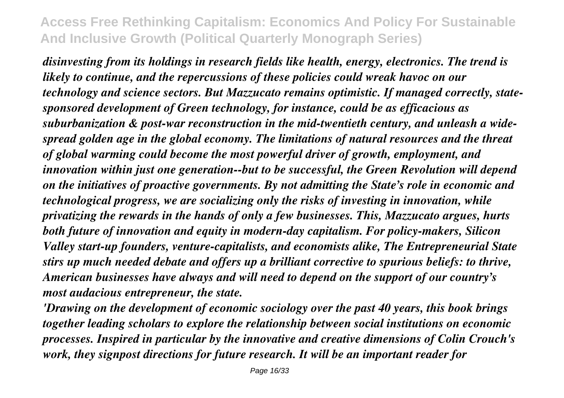*disinvesting from its holdings in research fields like health, energy, electronics. The trend is likely to continue, and the repercussions of these policies could wreak havoc on our technology and science sectors. But Mazzucato remains optimistic. If managed correctly, statesponsored development of Green technology, for instance, could be as efficacious as suburbanization & post-war reconstruction in the mid-twentieth century, and unleash a widespread golden age in the global economy. The limitations of natural resources and the threat of global warming could become the most powerful driver of growth, employment, and innovation within just one generation--but to be successful, the Green Revolution will depend on the initiatives of proactive governments. By not admitting the State's role in economic and technological progress, we are socializing only the risks of investing in innovation, while privatizing the rewards in the hands of only a few businesses. This, Mazzucato argues, hurts both future of innovation and equity in modern-day capitalism. For policy-makers, Silicon Valley start-up founders, venture-capitalists, and economists alike, The Entrepreneurial State stirs up much needed debate and offers up a brilliant corrective to spurious beliefs: to thrive, American businesses have always and will need to depend on the support of our country's most audacious entrepreneur, the state.*

*'Drawing on the development of economic sociology over the past 40 years, this book brings together leading scholars to explore the relationship between social institutions on economic processes. Inspired in particular by the innovative and creative dimensions of Colin Crouch's work, they signpost directions for future research. It will be an important reader for*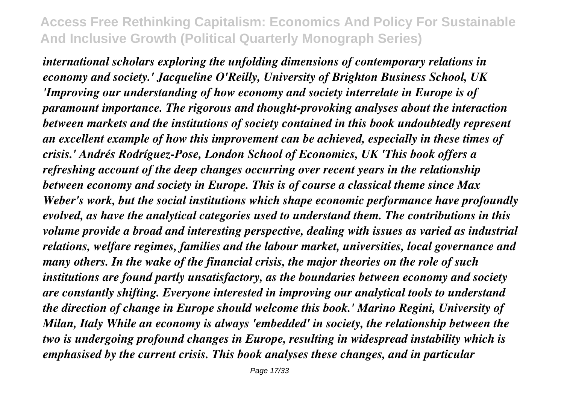*international scholars exploring the unfolding dimensions of contemporary relations in economy and society.' Jacqueline O'Reilly, University of Brighton Business School, UK 'Improving our understanding of how economy and society interrelate in Europe is of paramount importance. The rigorous and thought-provoking analyses about the interaction between markets and the institutions of society contained in this book undoubtedly represent an excellent example of how this improvement can be achieved, especially in these times of crisis.' Andrés Rodríguez-Pose, London School of Economics, UK 'This book offers a refreshing account of the deep changes occurring over recent years in the relationship between economy and society in Europe. This is of course a classical theme since Max Weber's work, but the social institutions which shape economic performance have profoundly evolved, as have the analytical categories used to understand them. The contributions in this volume provide a broad and interesting perspective, dealing with issues as varied as industrial relations, welfare regimes, families and the labour market, universities, local governance and many others. In the wake of the financial crisis, the major theories on the role of such institutions are found partly unsatisfactory, as the boundaries between economy and society are constantly shifting. Everyone interested in improving our analytical tools to understand the direction of change in Europe should welcome this book.' Marino Regini, University of Milan, Italy While an economy is always 'embedded' in society, the relationship between the two is undergoing profound changes in Europe, resulting in widespread instability which is emphasised by the current crisis. This book analyses these changes, and in particular*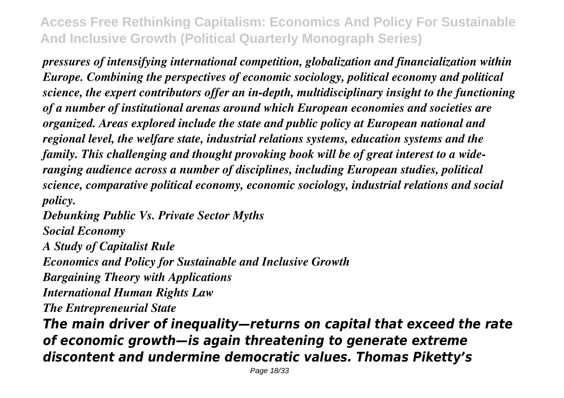*pressures of intensifying international competition, globalization and financialization within Europe. Combining the perspectives of economic sociology, political economy and political science, the expert contributors offer an in-depth, multidisciplinary insight to the functioning of a number of institutional arenas around which European economies and societies are organized. Areas explored include the state and public policy at European national and regional level, the welfare state, industrial relations systems, education systems and the family. This challenging and thought provoking book will be of great interest to a wideranging audience across a number of disciplines, including European studies, political science, comparative political economy, economic sociology, industrial relations and social policy.*

*Debunking Public Vs. Private Sector Myths Social Economy*

*A Study of Capitalist Rule Economics and Policy for Sustainable and Inclusive Growth Bargaining Theory with Applications International Human Rights Law The Entrepreneurial State*

*The main driver of inequality—returns on capital that exceed the rate of economic growth—is again threatening to generate extreme discontent and undermine democratic values. Thomas Piketty's*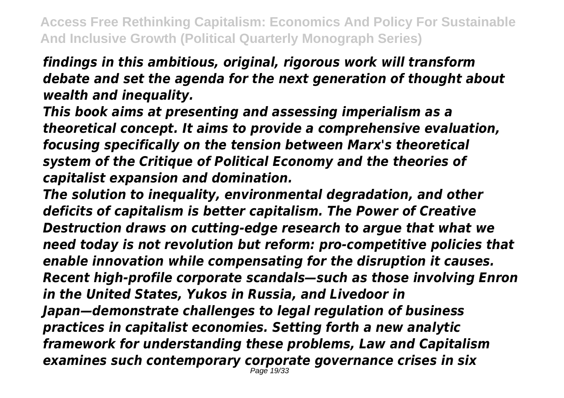*findings in this ambitious, original, rigorous work will transform debate and set the agenda for the next generation of thought about wealth and inequality.*

*This book aims at presenting and assessing imperialism as a theoretical concept. It aims to provide a comprehensive evaluation, focusing specifically on the tension between Marx's theoretical system of the Critique of Political Economy and the theories of capitalist expansion and domination.*

*The solution to inequality, environmental degradation, and other deficits of capitalism is better capitalism. The Power of Creative Destruction draws on cutting-edge research to argue that what we need today is not revolution but reform: pro-competitive policies that enable innovation while compensating for the disruption it causes. Recent high-profile corporate scandals—such as those involving Enron in the United States, Yukos in Russia, and Livedoor in Japan—demonstrate challenges to legal regulation of business practices in capitalist economies. Setting forth a new analytic framework for understanding these problems, Law and Capitalism examines such contemporary corporate governance crises in six* Page 19/33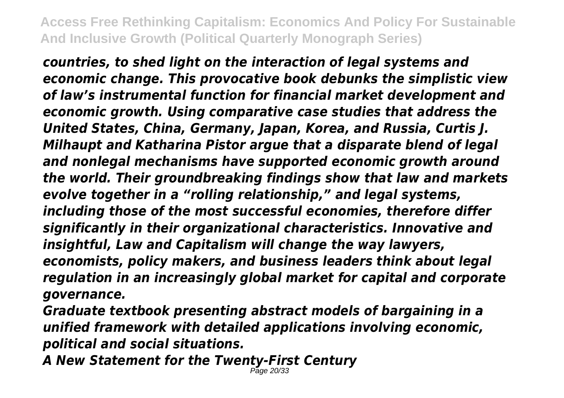*countries, to shed light on the interaction of legal systems and economic change. This provocative book debunks the simplistic view of law's instrumental function for financial market development and economic growth. Using comparative case studies that address the United States, China, Germany, Japan, Korea, and Russia, Curtis J. Milhaupt and Katharina Pistor argue that a disparate blend of legal and nonlegal mechanisms have supported economic growth around the world. Their groundbreaking findings show that law and markets evolve together in a "rolling relationship," and legal systems, including those of the most successful economies, therefore differ significantly in their organizational characteristics. Innovative and insightful, Law and Capitalism will change the way lawyers, economists, policy makers, and business leaders think about legal regulation in an increasingly global market for capital and corporate governance.*

*Graduate textbook presenting abstract models of bargaining in a unified framework with detailed applications involving economic, political and social situations.*

*A New Statement for the Twenty-First Century* Page 20/33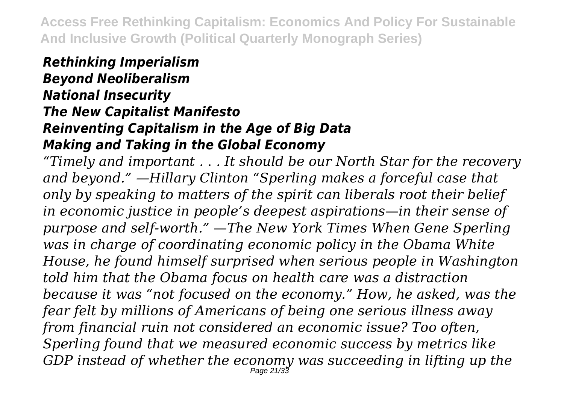#### *Rethinking Imperialism*

# *Beyond Neoliberalism National Insecurity The New Capitalist Manifesto Reinventing Capitalism in the Age of Big Data Making and Taking in the Global Economy*

*"Timely and important . . . It should be our North Star for the recovery and beyond." —Hillary Clinton "Sperling makes a forceful case that only by speaking to matters of the spirit can liberals root their belief in economic justice in people's deepest aspirations—in their sense of purpose and self-worth." —The New York Times When Gene Sperling was in charge of coordinating economic policy in the Obama White House, he found himself surprised when serious people in Washington told him that the Obama focus on health care was a distraction because it was "not focused on the economy." How, he asked, was the fear felt by millions of Americans of being one serious illness away from financial ruin not considered an economic issue? Too often, Sperling found that we measured economic success by metrics like GDP instead of whether the economy was succeeding in lifting up the* Page 21/33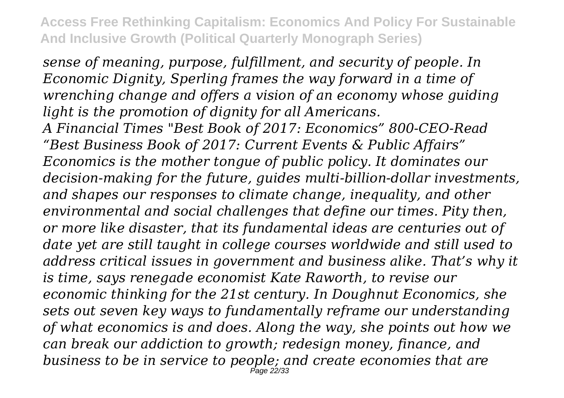*sense of meaning, purpose, fulfillment, and security of people. In Economic Dignity, Sperling frames the way forward in a time of wrenching change and offers a vision of an economy whose guiding light is the promotion of dignity for all Americans. A Financial Times "Best Book of 2017: Economics" 800-CEO-Read "Best Business Book of 2017: Current Events & Public Affairs" Economics is the mother tongue of public policy. It dominates our decision-making for the future, guides multi-billion-dollar investments, and shapes our responses to climate change, inequality, and other environmental and social challenges that define our times. Pity then, or more like disaster, that its fundamental ideas are centuries out of date yet are still taught in college courses worldwide and still used to address critical issues in government and business alike. That's why it is time, says renegade economist Kate Raworth, to revise our economic thinking for the 21st century. In Doughnut Economics, she sets out seven key ways to fundamentally reframe our understanding of what economics is and does. Along the way, she points out how we can break our addiction to growth; redesign money, finance, and business to be in service to people; and create economies that are* Page 22/33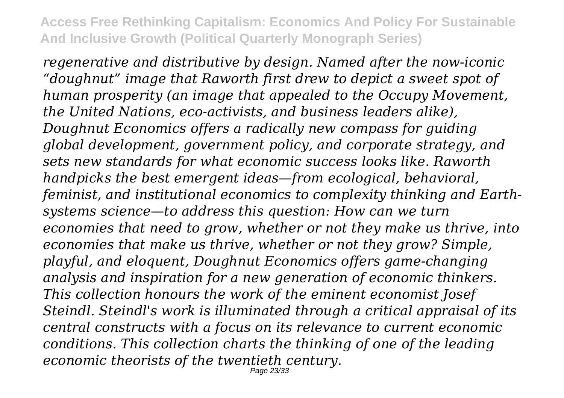*regenerative and distributive by design. Named after the now-iconic "doughnut" image that Raworth first drew to depict a sweet spot of human prosperity (an image that appealed to the Occupy Movement, the United Nations, eco-activists, and business leaders alike), Doughnut Economics offers a radically new compass for guiding global development, government policy, and corporate strategy, and sets new standards for what economic success looks like. Raworth handpicks the best emergent ideas—from ecological, behavioral, feminist, and institutional economics to complexity thinking and Earthsystems science—to address this question: How can we turn economies that need to grow, whether or not they make us thrive, into economies that make us thrive, whether or not they grow? Simple, playful, and eloquent, Doughnut Economics offers game-changing analysis and inspiration for a new generation of economic thinkers. This collection honours the work of the eminent economist Josef Steindl. Steindl's work is illuminated through a critical appraisal of its central constructs with a focus on its relevance to current economic conditions. This collection charts the thinking of one of the leading economic theorists of the twentieth century.* Page 23/33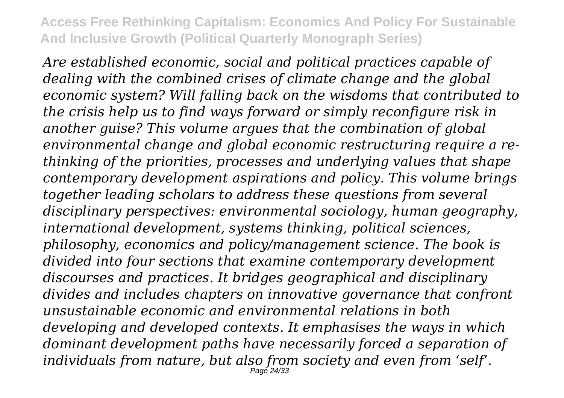*Are established economic, social and political practices capable of dealing with the combined crises of climate change and the global economic system? Will falling back on the wisdoms that contributed to the crisis help us to find ways forward or simply reconfigure risk in another guise? This volume argues that the combination of global environmental change and global economic restructuring require a rethinking of the priorities, processes and underlying values that shape contemporary development aspirations and policy. This volume brings together leading scholars to address these questions from several disciplinary perspectives: environmental sociology, human geography, international development, systems thinking, political sciences, philosophy, economics and policy/management science. The book is divided into four sections that examine contemporary development discourses and practices. It bridges geographical and disciplinary divides and includes chapters on innovative governance that confront unsustainable economic and environmental relations in both developing and developed contexts. It emphasises the ways in which dominant development paths have necessarily forced a separation of individuals from nature, but also from society and even from 'self'.* Page 24/33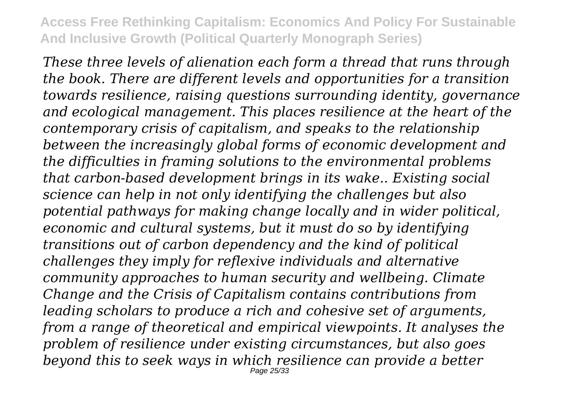*These three levels of alienation each form a thread that runs through the book. There are different levels and opportunities for a transition towards resilience, raising questions surrounding identity, governance and ecological management. This places resilience at the heart of the contemporary crisis of capitalism, and speaks to the relationship between the increasingly global forms of economic development and the difficulties in framing solutions to the environmental problems that carbon-based development brings in its wake.. Existing social science can help in not only identifying the challenges but also potential pathways for making change locally and in wider political, economic and cultural systems, but it must do so by identifying transitions out of carbon dependency and the kind of political challenges they imply for reflexive individuals and alternative community approaches to human security and wellbeing. Climate Change and the Crisis of Capitalism contains contributions from leading scholars to produce a rich and cohesive set of arguments, from a range of theoretical and empirical viewpoints. It analyses the problem of resilience under existing circumstances, but also goes beyond this to seek ways in which resilience can provide a better* Page 25/33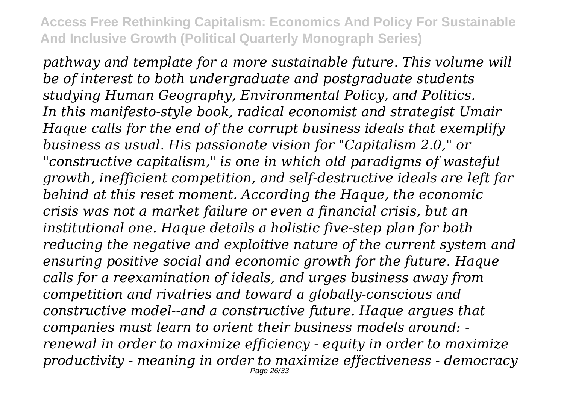*pathway and template for a more sustainable future. This volume will be of interest to both undergraduate and postgraduate students studying Human Geography, Environmental Policy, and Politics. In this manifesto-style book, radical economist and strategist Umair Haque calls for the end of the corrupt business ideals that exemplify business as usual. His passionate vision for "Capitalism 2.0," or "constructive capitalism," is one in which old paradigms of wasteful growth, inefficient competition, and self-destructive ideals are left far behind at this reset moment. According the Haque, the economic crisis was not a market failure or even a financial crisis, but an institutional one. Haque details a holistic five-step plan for both reducing the negative and exploitive nature of the current system and ensuring positive social and economic growth for the future. Haque calls for a reexamination of ideals, and urges business away from competition and rivalries and toward a globally-conscious and constructive model--and a constructive future. Haque argues that companies must learn to orient their business models around: renewal in order to maximize efficiency - equity in order to maximize productivity - meaning in order to maximize effectiveness - democracy* Page 26/33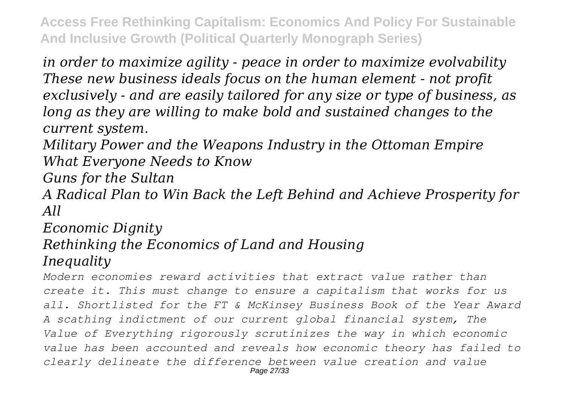*in order to maximize agility - peace in order to maximize evolvability These new business ideals focus on the human element - not profit exclusively - and are easily tailored for any size or type of business, as long as they are willing to make bold and sustained changes to the current system.*

*Military Power and the Weapons Industry in the Ottoman Empire What Everyone Needs to Know*

*Guns for the Sultan*

*A Radical Plan to Win Back the Left Behind and Achieve Prosperity for All*

# *Economic Dignity Rethinking the Economics of Land and Housing Inequality*

*Modern economies reward activities that extract value rather than create it. This must change to ensure a capitalism that works for us all. Shortlisted for the FT & McKinsey Business Book of the Year Award A scathing indictment of our current global financial system, The Value of Everything rigorously scrutinizes the way in which economic value has been accounted and reveals how economic theory has failed to clearly delineate the difference between value creation and value* Page 27/33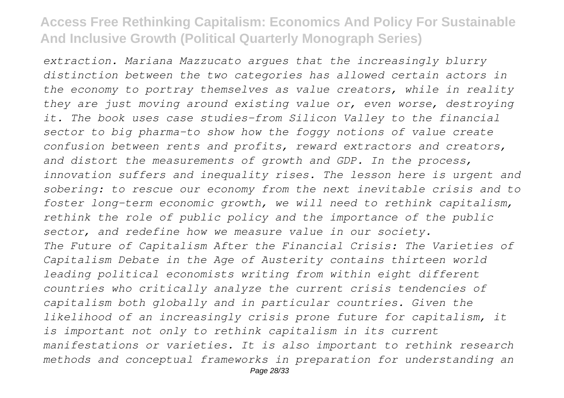*extraction. Mariana Mazzucato argues that the increasingly blurry distinction between the two categories has allowed certain actors in the economy to portray themselves as value creators, while in reality they are just moving around existing value or, even worse, destroying it. The book uses case studies-from Silicon Valley to the financial sector to big pharma-to show how the foggy notions of value create confusion between rents and profits, reward extractors and creators, and distort the measurements of growth and GDP. In the process, innovation suffers and inequality rises. The lesson here is urgent and sobering: to rescue our economy from the next inevitable crisis and to foster long-term economic growth, we will need to rethink capitalism, rethink the role of public policy and the importance of the public sector, and redefine how we measure value in our society. The Future of Capitalism After the Financial Crisis: The Varieties of Capitalism Debate in the Age of Austerity contains thirteen world leading political economists writing from within eight different countries who critically analyze the current crisis tendencies of capitalism both globally and in particular countries. Given the likelihood of an increasingly crisis prone future for capitalism, it is important not only to rethink capitalism in its current manifestations or varieties. It is also important to rethink research methods and conceptual frameworks in preparation for understanding an*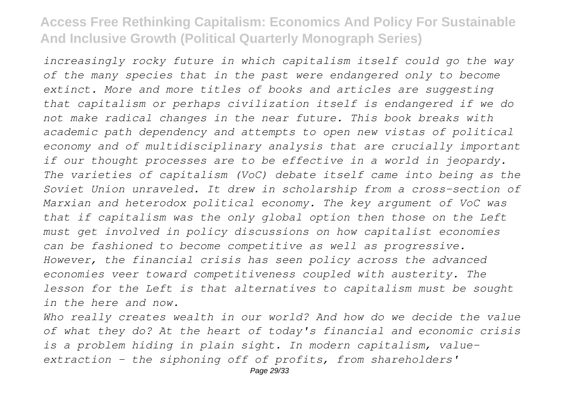*increasingly rocky future in which capitalism itself could go the way of the many species that in the past were endangered only to become extinct. More and more titles of books and articles are suggesting that capitalism or perhaps civilization itself is endangered if we do not make radical changes in the near future. This book breaks with academic path dependency and attempts to open new vistas of political economy and of multidisciplinary analysis that are crucially important if our thought processes are to be effective in a world in jeopardy. The varieties of capitalism (VoC) debate itself came into being as the Soviet Union unraveled. It drew in scholarship from a cross-section of Marxian and heterodox political economy. The key argument of VoC was that if capitalism was the only global option then those on the Left must get involved in policy discussions on how capitalist economies can be fashioned to become competitive as well as progressive. However, the financial crisis has seen policy across the advanced economies veer toward competitiveness coupled with austerity. The lesson for the Left is that alternatives to capitalism must be sought in the here and now.*

*Who really creates wealth in our world? And how do we decide the value of what they do? At the heart of today's financial and economic crisis is a problem hiding in plain sight. In modern capitalism, valueextraction - the siphoning off of profits, from shareholders'*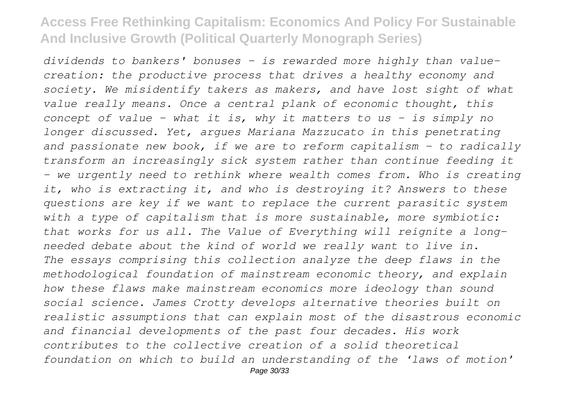*dividends to bankers' bonuses - is rewarded more highly than valuecreation: the productive process that drives a healthy economy and society. We misidentify takers as makers, and have lost sight of what value really means. Once a central plank of economic thought, this concept of value - what it is, why it matters to us - is simply no longer discussed. Yet, argues Mariana Mazzucato in this penetrating and passionate new book, if we are to reform capitalism - to radically transform an increasingly sick system rather than continue feeding it - we urgently need to rethink where wealth comes from. Who is creating it, who is extracting it, and who is destroying it? Answers to these questions are key if we want to replace the current parasitic system with a type of capitalism that is more sustainable, more symbiotic: that works for us all. The Value of Everything will reignite a longneeded debate about the kind of world we really want to live in. The essays comprising this collection analyze the deep flaws in the methodological foundation of mainstream economic theory, and explain how these flaws make mainstream economics more ideology than sound social science. James Crotty develops alternative theories built on realistic assumptions that can explain most of the disastrous economic and financial developments of the past four decades. His work contributes to the collective creation of a solid theoretical foundation on which to build an understanding of the 'laws of motion'*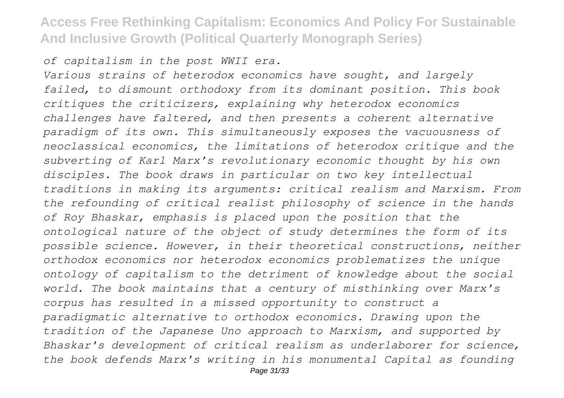#### *of capitalism in the post WWII era.*

*Various strains of heterodox economics have sought, and largely failed, to dismount orthodoxy from its dominant position. This book critiques the criticizers, explaining why heterodox economics challenges have faltered, and then presents a coherent alternative paradigm of its own. This simultaneously exposes the vacuousness of neoclassical economics, the limitations of heterodox critique and the subverting of Karl Marx's revolutionary economic thought by his own disciples. The book draws in particular on two key intellectual traditions in making its arguments: critical realism and Marxism. From the refounding of critical realist philosophy of science in the hands of Roy Bhaskar, emphasis is placed upon the position that the ontological nature of the object of study determines the form of its possible science. However, in their theoretical constructions, neither orthodox economics nor heterodox economics problematizes the unique ontology of capitalism to the detriment of knowledge about the social world. The book maintains that a century of misthinking over Marx's corpus has resulted in a missed opportunity to construct a paradigmatic alternative to orthodox economics. Drawing upon the tradition of the Japanese Uno approach to Marxism, and supported by Bhaskar's development of critical realism as underlaborer for science, the book defends Marx's writing in his monumental Capital as founding*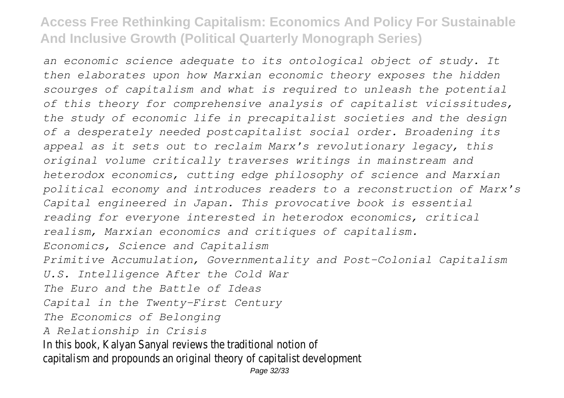*an economic science adequate to its ontological object of study. It then elaborates upon how Marxian economic theory exposes the hidden scourges of capitalism and what is required to unleash the potential of this theory for comprehensive analysis of capitalist vicissitudes, the study of economic life in precapitalist societies and the design of a desperately needed postcapitalist social order. Broadening its appeal as it sets out to reclaim Marx's revolutionary legacy, this original volume critically traverses writings in mainstream and heterodox economics, cutting edge philosophy of science and Marxian political economy and introduces readers to a reconstruction of Marx's Capital engineered in Japan. This provocative book is essential reading for everyone interested in heterodox economics, critical realism, Marxian economics and critiques of capitalism. Economics, Science and Capitalism Primitive Accumulation, Governmentality and Post-Colonial Capitalism U.S. Intelligence After the Cold War The Euro and the Battle of Ideas Capital in the Twenty-First Century The Economics of Belonging A Relationship in Crisis* In this book, Kalyan Sanyal reviews the traditional notion of capitalism and propounds an original theory of capitalist development